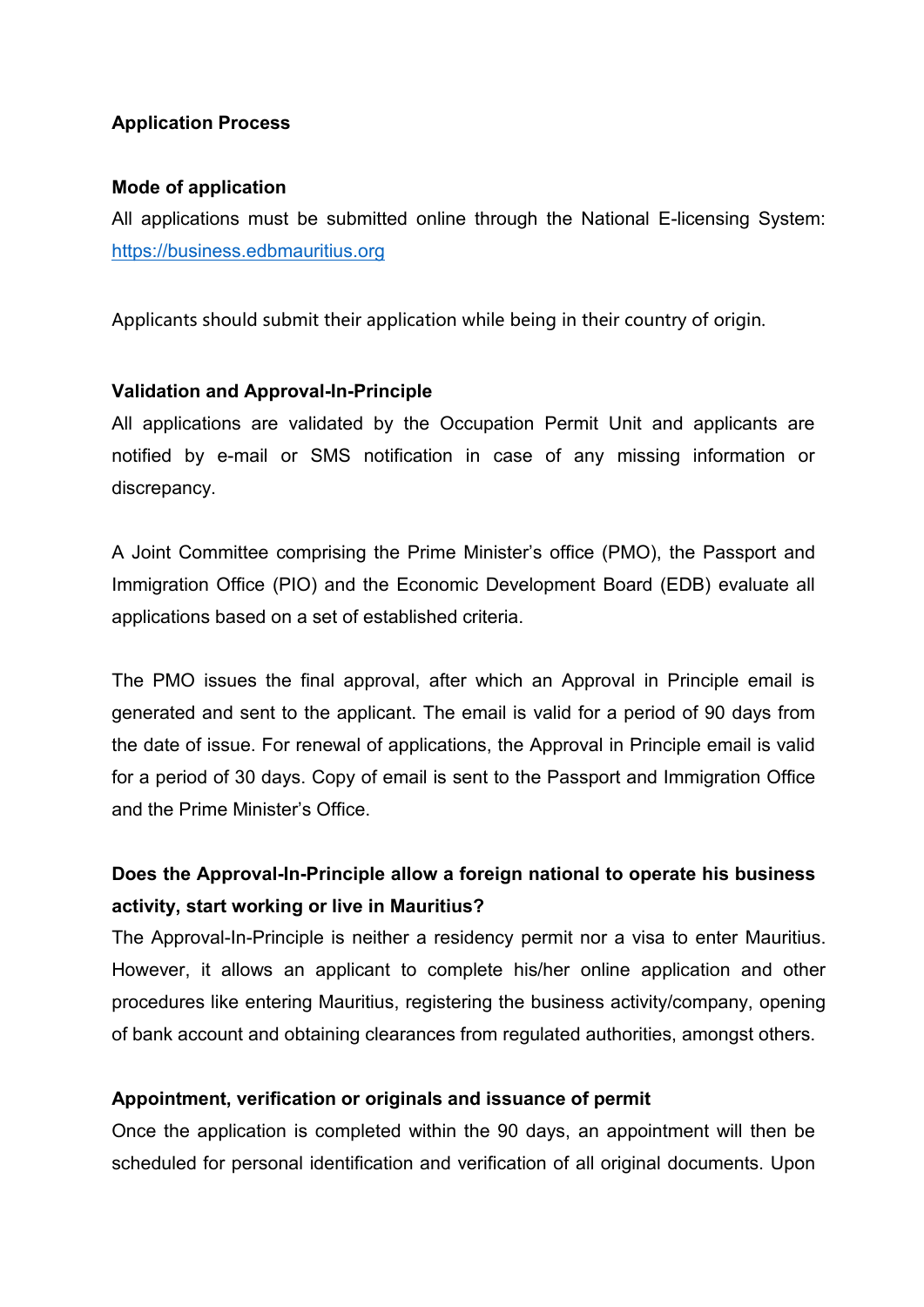## **Application Process**

### **Mode of application**

All applications must be submitted online through the National E-licensing System: <https://business.edbmauritius.org>

Applicants should submit their application while being in their country of origin.

# **Validation and Approval-In-Principle**

All applications are validated by the Occupation Permit Unit and applicants are notified by e-mail or SMS notification in case of any missing information or discrepancy.

A Joint Committee comprising the Prime Minister's office (PMO), the Passport and Immigration Office (PIO) and the Economic Development Board (EDB) evaluate all applications based on a set of established criteria.

The PMO issues the final approval, after which an Approval in Principle email is generated and sent to the applicant. The email is valid for a period of 90 days from the date of issue. For renewal of applications, the Approval in Principle email is valid for a period of 30 days. Copy of email is sent to the Passport and Immigration Office and the Prime Minister's Office.

# **Does the Approval-In-Principle allow a foreign national to operate his business activity, start working or live in Mauritius?**

The Approval-In-Principle is neither a residency permit nor a visa to enter Mauritius. However, it allows an applicant to complete his/her online application and other procedures like entering Mauritius, registering the business activity/company, opening of bank account and obtaining clearances from regulated authorities, amongst others.

## **Appointment, verification or originals and issuance of permit**

Once the application is completed within the 90 days, an appointment will then be scheduled for personal identification and verification of all original documents. Upon